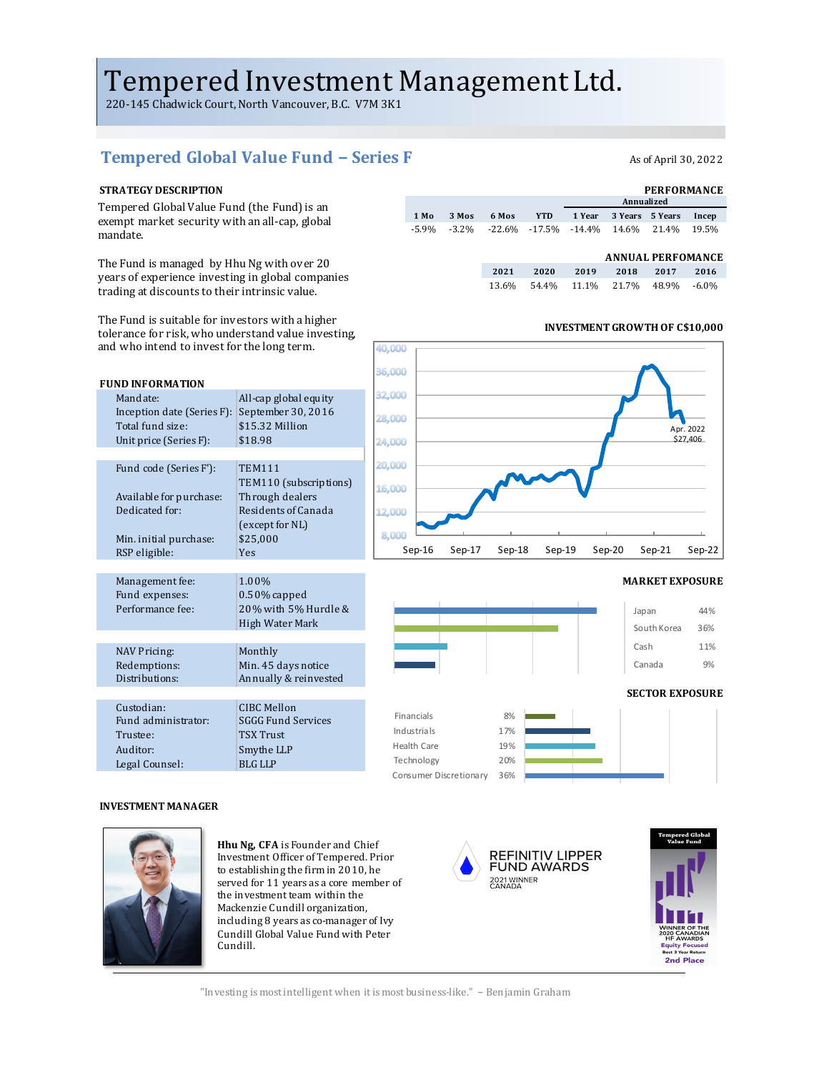# Tempered Investment Management Ltd.

220-145 Chadwick Court, North Vancouver, B.C. V7M 3K1

## Tempered Global Value Fund − Series F As of April 30, 2022

Tempered Global Value Fund (the Fund) is an exempt market security with an all-cap, global mandate. 

The Fund is managed by Hhu Ng with over 20 years of experience investing in global companies trading at discounts to their intrinsic value.

The Fund is suitable for investors with a higher tolerance for risk, who understand value investing, and who intend to invest for the long term.



### **STRATEGY DESCRIPTION PERFORMANCE 1 Year 3 Years 5 Years Incep** -5.9% -3.2% -22.6% -17.5% -14.4% 14.6% 21.4% 19.5% **6 Mos YTD Annualized 1 Mo 3 Mos**

## **ANNUAL PERFOMANCE**

| 2021 2020 2019 2018 2017 2016       |  |  |
|-------------------------------------|--|--|
| 13.6% 54.4% 11.1% 21.7% 48.9% -6.0% |  |  |

**INVESTMENT GROWTH OF C\$10,000** 

# 40.000 Apr. 2022 \$27,406Sep-16 Sep-17 Sep-18 Sep-19 Sep-20 Sep-21 Sep-22



## **INVESTMENT MANAGER**

Legal Counsel: BLG LLP



**Hhu Ng, CFA** is Founder and Chief Investment Officer of Tempered. Prior to establishing the firm in 2010, he served for 11 years as a core member of the investment team within the Mackenzie Cundill organization, including 8 years as co-manager of Ivy Cundill Global Value Fund with Peter Cundill.



Consumer Discretionary 36% Technology 20%



"Investing is most intelligent when it is most business-like." – Benjamin Graham